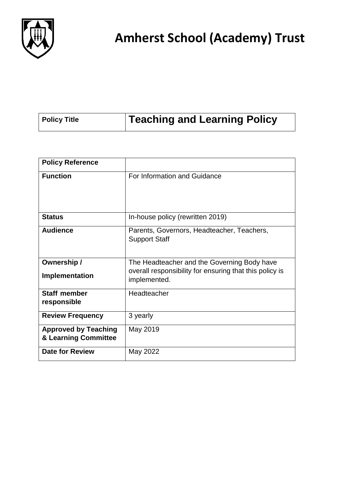

| <b>Teaching and Learning Policy</b><br><b>Policy Title</b> |
|------------------------------------------------------------|
|------------------------------------------------------------|

| <b>Policy Reference</b>                             |                                                                                                                        |
|-----------------------------------------------------|------------------------------------------------------------------------------------------------------------------------|
| <b>Function</b>                                     | For Information and Guidance                                                                                           |
| <b>Status</b>                                       | In-house policy (rewritten 2019)                                                                                       |
| <b>Audience</b>                                     | Parents, Governors, Headteacher, Teachers,<br><b>Support Staff</b>                                                     |
| Ownership /<br>Implementation                       | The Headteacher and the Governing Body have<br>overall responsibility for ensuring that this policy is<br>implemented. |
| <b>Staff member</b><br>responsible                  | Headteacher                                                                                                            |
| <b>Review Frequency</b>                             | 3 yearly                                                                                                               |
| <b>Approved by Teaching</b><br>& Learning Committee | May 2019                                                                                                               |
| <b>Date for Review</b>                              | May 2022                                                                                                               |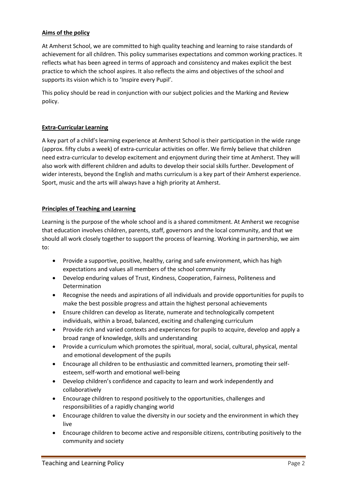### **Aims of the policy**

At Amherst School, we are committed to high quality teaching and learning to raise standards of achievement for all children. This policy summarises expectations and common working practices. It reflects what has been agreed in terms of approach and consistency and makes explicit the best practice to which the school aspires. It also reflects the aims and objectives of the school and supports its vision which is to 'Inspire every Pupil'.

This policy should be read in conjunction with our subject policies and the Marking and Review policy.

#### **Extra-Curricular Learning**

A key part of a child's learning experience at Amherst School is their participation in the wide range (approx. fifty clubs a week) of extra-curricular activities on offer. We firmly believe that children need extra-curricular to develop excitement and enjoyment during their time at Amherst. They will also work with different children and adults to develop their social skills further. Development of wider interests, beyond the English and maths curriculum is a key part of their Amherst experience. Sport, music and the arts will always have a high priority at Amherst.

#### **Principles of Teaching and Learning**

Learning is the purpose of the whole school and is a shared commitment. At Amherst we recognise that education involves children, parents, staff, governors and the local community, and that we should all work closely together to support the process of learning. Working in partnership, we aim to:

- Provide a supportive, positive, healthy, caring and safe environment, which has high expectations and values all members of the school community
- Develop enduring values of Trust, Kindness, Cooperation, Fairness, Politeness and Determination
- Recognise the needs and aspirations of all individuals and provide opportunities for pupils to make the best possible progress and attain the highest personal achievements
- Ensure children can develop as literate, numerate and technologically competent individuals, within a broad, balanced, exciting and challenging curriculum
- Provide rich and varied contexts and experiences for pupils to acquire, develop and apply a broad range of knowledge, skills and understanding
- Provide a curriculum which promotes the spiritual, moral, social, cultural, physical, mental and emotional development of the pupils
- Encourage all children to be enthusiastic and committed learners, promoting their selfesteem, self-worth and emotional well-being
- Develop children's confidence and capacity to learn and work independently and collaboratively
- Encourage children to respond positively to the opportunities, challenges and responsibilities of a rapidly changing world
- Encourage children to value the diversity in our society and the environment in which they live
- Encourage children to become active and responsible citizens, contributing positively to the community and society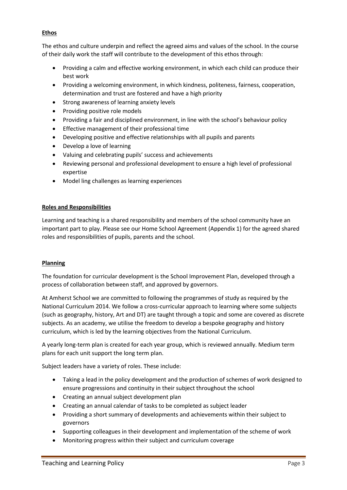## **Ethos**

The ethos and culture underpin and reflect the agreed aims and values of the school. In the course of their daily work the staff will contribute to the development of this ethos through:

- Providing a calm and effective working environment, in which each child can produce their best work
- Providing a welcoming environment, in which kindness, politeness, fairness, cooperation, determination and trust are fostered and have a high priority
- Strong awareness of learning anxiety levels
- Providing positive role models
- Providing a fair and disciplined environment, in line with the school's behaviour policy
- Effective management of their professional time
- Developing positive and effective relationships with all pupils and parents
- Develop a love of learning
- Valuing and celebrating pupils' success and achievements
- Reviewing personal and professional development to ensure a high level of professional expertise
- Model ling challenges as learning experiences

## **Roles and Responsibilities**

Learning and teaching is a shared responsibility and members of the school community have an important part to play. Please see our Home School Agreement (Appendix 1) for the agreed shared roles and responsibilities of pupils, parents and the school.

#### **Planning**

The foundation for curricular development is the School Improvement Plan, developed through a process of collaboration between staff, and approved by governors.

At Amherst School we are committed to following the programmes of study as required by the National Curriculum 2014. We follow a cross-curricular approach to learning where some subjects (such as geography, history, Art and DT) are taught through a topic and some are covered as discrete subjects. As an academy, we utilise the freedom to develop a bespoke geography and history curriculum, which is led by the learning objectives from the National Curriculum.

A yearly long-term plan is created for each year group, which is reviewed annually. Medium term plans for each unit support the long term plan.

Subject leaders have a variety of roles. These include:

- Taking a lead in the policy development and the production of schemes of work designed to ensure progressions and continuity in their subject throughout the school
- Creating an annual subject development plan
- Creating an annual calendar of tasks to be completed as subject leader
- Providing a short summary of developments and achievements within their subject to governors
- Supporting colleagues in their development and implementation of the scheme of work
- Monitoring progress within their subject and curriculum coverage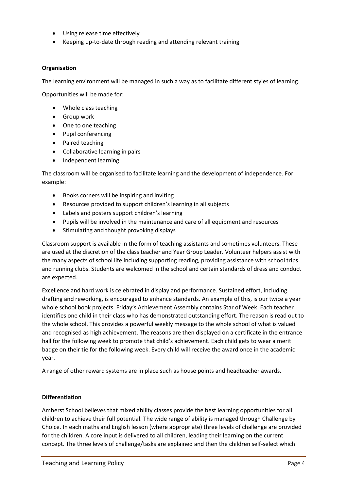- Using release time effectively
- Keeping up-to-date through reading and attending relevant training

#### **Organisation**

The learning environment will be managed in such a way as to facilitate different styles of learning.

Opportunities will be made for:

- Whole class teaching
- Group work
- One to one teaching
- Pupil conferencing
- Paired teaching
- Collaborative learning in pairs
- Independent learning

The classroom will be organised to facilitate learning and the development of independence. For example:

- Books corners will be inspiring and inviting
- Resources provided to support children's learning in all subjects
- Labels and posters support children's learning
- Pupils will be involved in the maintenance and care of all equipment and resources
- Stimulating and thought provoking displays

Classroom support is available in the form of teaching assistants and sometimes volunteers. These are used at the discretion of the class teacher and Year Group Leader. Volunteer helpers assist with the many aspects of school life including supporting reading, providing assistance with school trips and running clubs. Students are welcomed in the school and certain standards of dress and conduct are expected.

Excellence and hard work is celebrated in display and performance. Sustained effort, including drafting and reworking, is encouraged to enhance standards. An example of this, is our twice a year whole school book projects. Friday's Achievement Assembly contains Star of Week. Each teacher identifies one child in their class who has demonstrated outstanding effort. The reason is read out to the whole school. This provides a powerful weekly message to the whole school of what is valued and recognised as high achievement. The reasons are then displayed on a certificate in the entrance hall for the following week to promote that child's achievement. Each child gets to wear a merit badge on their tie for the following week. Every child will receive the award once in the academic year.

A range of other reward systems are in place such as house points and headteacher awards.

#### **Differentiation**

Amherst School believes that mixed ability classes provide the best learning opportunities for all children to achieve their full potential. The wide range of ability is managed through Challenge by Choice. In each maths and English lesson (where appropriate) three levels of challenge are provided for the children. A core input is delivered to all children, leading their learning on the current concept. The three levels of challenge/tasks are explained and then the children self-select which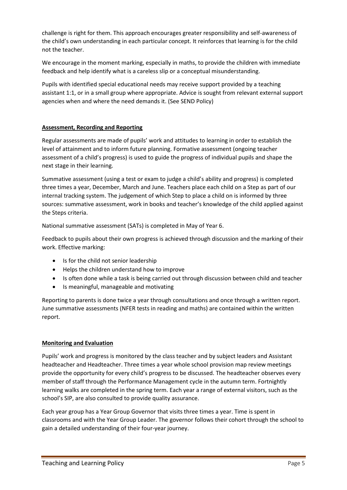challenge is right for them. This approach encourages greater responsibility and self-awareness of the child's own understanding in each particular concept. It reinforces that learning is for the child not the teacher.

We encourage in the moment marking, especially in maths, to provide the children with immediate feedback and help identify what is a careless slip or a conceptual misunderstanding.

Pupils with identified special educational needs may receive support provided by a teaching assistant 1:1, or in a small group where appropriate. Advice is sought from relevant external support agencies when and where the need demands it. (See SEND Policy)

## **Assessment, Recording and Reporting**

Regular assessments are made of pupils' work and attitudes to learning in order to establish the level of attainment and to inform future planning. Formative assessment (ongoing teacher assessment of a child's progress) is used to guide the progress of individual pupils and shape the next stage in their learning.

Summative assessment (using a test or exam to judge a child's ability and progress) is completed three times a year, December, March and June. Teachers place each child on a Step as part of our internal tracking system. The judgement of which Step to place a child on is informed by three sources: summative assessment, work in books and teacher's knowledge of the child applied against the Steps criteria.

National summative assessment (SATs) is completed in May of Year 6.

Feedback to pupils about their own progress is achieved through discussion and the marking of their work. Effective marking:

- Is for the child not senior leadership
- Helps the children understand how to improve
- Is often done while a task is being carried out through discussion between child and teacher
- Is meaningful, manageable and motivating

Reporting to parents is done twice a year through consultations and once through a written report. June summative assessments (NFER tests in reading and maths) are contained within the written report.

#### **Monitoring and Evaluation**

Pupils' work and progress is monitored by the class teacher and by subject leaders and Assistant headteacher and Headteacher. Three times a year whole school provision map review meetings provide the opportunity for every child's progress to be discussed. The headteacher observes every member of staff through the Performance Management cycle in the autumn term. Fortnightly learning walks are completed in the spring term. Each year a range of external visitors, such as the school's SIP, are also consulted to provide quality assurance.

Each year group has a Year Group Governor that visits three times a year. Time is spent in classrooms and with the Year Group Leader. The governor follows their cohort through the school to gain a detailed understanding of their four-year journey.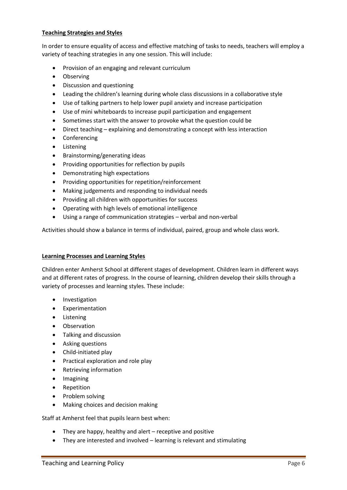#### **Teaching Strategies and Styles**

In order to ensure equality of access and effective matching of tasks to needs, teachers will employ a variety of teaching strategies in any one session. This will include:

- Provision of an engaging and relevant curriculum
- Observing
- Discussion and questioning
- Leading the children's learning during whole class discussions in a collaborative style
- Use of talking partners to help lower pupil anxiety and increase participation
- Use of mini whiteboards to increase pupil participation and engagement
- Sometimes start with the answer to provoke what the question could be
- Direct teaching explaining and demonstrating a concept with less interaction
- Conferencing
- Listening
- Brainstorming/generating ideas
- Providing opportunities for reflection by pupils
- Demonstrating high expectations
- Providing opportunities for repetition/reinforcement
- Making judgements and responding to individual needs
- Providing all children with opportunities for success
- Operating with high levels of emotional intelligence
- Using a range of communication strategies verbal and non-verbal

Activities should show a balance in terms of individual, paired, group and whole class work.

#### **Learning Processes and Learning Styles**

Children enter Amherst School at different stages of development. Children learn in different ways and at different rates of progress. In the course of learning, children develop their skills through a variety of processes and learning styles. These include:

- **•** Investigation
- Experimentation
- Listening
- Observation
- Talking and discussion
- Asking questions
- Child-initiated play
- Practical exploration and role play
- Retrieving information
- Imagining
- Repetition
- Problem solving
- Making choices and decision making

Staff at Amherst feel that pupils learn best when:

- They are happy, healthy and alert receptive and positive
- They are interested and involved learning is relevant and stimulating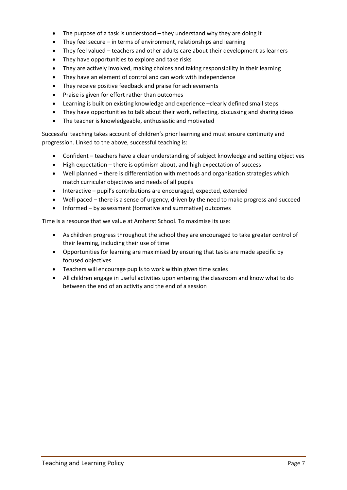- The purpose of a task is understood they understand why they are doing it
- They feel secure in terms of environment, relationships and learning
- They feel valued teachers and other adults care about their development as learners
- They have opportunities to explore and take risks
- They are actively involved, making choices and taking responsibility in their learning
- They have an element of control and can work with independence
- They receive positive feedback and praise for achievements
- Praise is given for effort rather than outcomes
- Learning is built on existing knowledge and experience –clearly defined small steps
- They have opportunities to talk about their work, reflecting, discussing and sharing ideas
- The teacher is knowledgeable, enthusiastic and motivated

Successful teaching takes account of children's prior learning and must ensure continuity and progression. Linked to the above, successful teaching is:

- Confident teachers have a clear understanding of subject knowledge and setting objectives
- High expectation there is optimism about, and high expectation of success
- Well planned there is differentiation with methods and organisation strategies which match curricular objectives and needs of all pupils
- Interactive pupil's contributions are encouraged, expected, extended
- Well-paced there is a sense of urgency, driven by the need to make progress and succeed
- Informed by assessment (formative and summative) outcomes

Time is a resource that we value at Amherst School. To maximise its use:

- As children progress throughout the school they are encouraged to take greater control of their learning, including their use of time
- Opportunities for learning are maximised by ensuring that tasks are made specific by focused objectives
- Teachers will encourage pupils to work within given time scales
- All children engage in useful activities upon entering the classroom and know what to do between the end of an activity and the end of a session